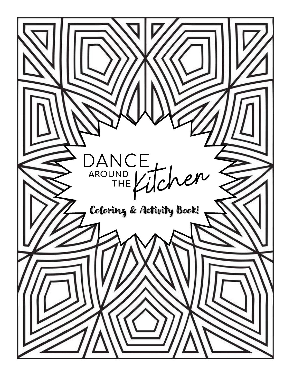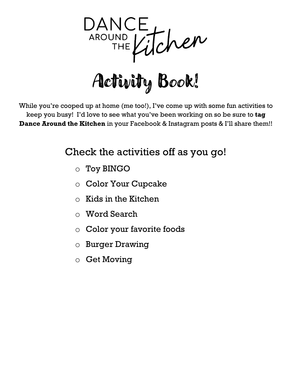

While you're cooped up at home (me too!), I've come up with some fun activities to keep you busy! I'd love to see what you've been working on so be sure to **tag Dance Around the Kitchen** in your Facebook & Instagram posts & I'll share them!!

#### Check the activities off as you go!

- o Toy BINGO
- o Color Your Cupcake
- $\circ$  Kids in the Kitchen
- o Word Search
- o Color your favorite foods
- o Burger Drawing
- o Get Moving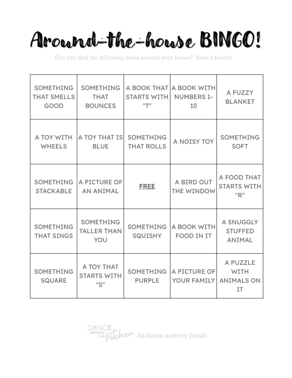# Around-the-house BINGO!

Can you find the following items around your house? Race a friend!

| SOMETHING<br><b>THAT SMELLS</b><br>GOOD | SOMETHING<br><b>THAT</b><br><b>BOUNCES</b>                                | <b>STARTS WITH</b><br>$^{\prime\prime}$ T $^{\prime\prime}$ | A BOOK THAT A BOOK WITH<br><b>NUMBERS 1-</b><br>10 | A FUZZY<br><b>BLANKET</b>                                 |  |
|-----------------------------------------|---------------------------------------------------------------------------|-------------------------------------------------------------|----------------------------------------------------|-----------------------------------------------------------|--|
| A TOY WITH<br><b>WHEELS</b>             | A TOY THAT IS<br><b>BLUE</b>                                              | SOMETHING<br><b>THAT ROLLS</b>                              | A NOISY TOY                                        | SOMETHING<br><b>SOFT</b>                                  |  |
| SOMETHING<br><b>STACKABLE</b>           | A PICTURE OF<br><b>AN ANIMAL</b>                                          | <b>FREE</b>                                                 | A BIRD OUT<br>THE WINDOW                           | A FOOD THAT<br><b>STARTS WITH</b><br>''R''                |  |
| SOMETHING<br><b>THAT SINGS</b>          | SOMETHING<br><b>TALLER THAN</b><br>YOU                                    | SOMETHING<br>SQUISHY                                        | A BOOK WITH<br>FOOD IN IT                          | A SNUGGLY<br><b>STUFFED</b><br>ANIMAL                     |  |
| SOMETHING<br>SQUARE                     | A TOY THAT<br><b>STARTS WITH</b><br>$^{\prime\prime}$ S $^{\prime\prime}$ | SOMETHING<br><b>PURPLE</b>                                  | A PICTURE OF<br>YOUR FAMILY                        | A PUZZLE<br><b>WITH</b><br><b>ANIMALS ON</b><br><b>IT</b> |  |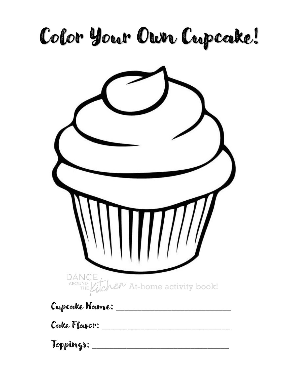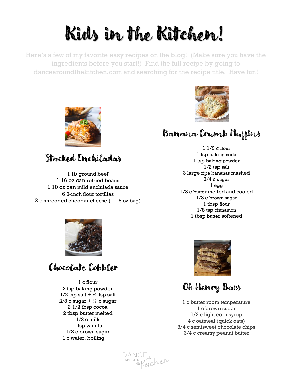### Kids in the Kitchen!

Here's a few of my favorite easy recipes on the blog! (Make sure you have the ingredients before you start!) Find the full recipe by going to dancearoundthekitchen.com and searching for the recipe title. Have fun!

DANCE<br>AROUND ELitcher



#### Banana Crumb Muffins

1 1/2 c flour 1 tsp baking soda 1 tsp baking powder 1/2 tsp salt 3 large ripe bananas mashed 3/4 c sugar  $1$  egg 1/3 c butter melted and cooled 1/3 c brown sugar 1 tbsp flour 1/8 tsp cinnamon 1 tbsp butter softened



Stocked Enchilosdow

 lb ground beef 16 oz can refried beans 10 oz can mild enchilada sauce 8-inch flour tortillas 2 c shredded cheddar cheese  $(1 - 8)$  oz bag)

#### Chocolate Cobbler

1 c flour 2 tsp baking powder  $1/2$  tsp salt +  $\frac{1}{4}$  tsp salt  $2/3$  c sugar  $+ \frac{1}{4}$  c sugar 2 1/2 tbsp cocoa 2 tbsp butter melted 1/2 c milk 1 tsp vanilla 1/2 c brown sugar 1 c water, boiling



Oh Henry Bars

1 c butter room temperature 1 c brown sugar 1/2 c light corn syrup 4 c oatmeal (quick oats) 3/4 c semisweet chocolate chips 3/4 c creamy peanut butter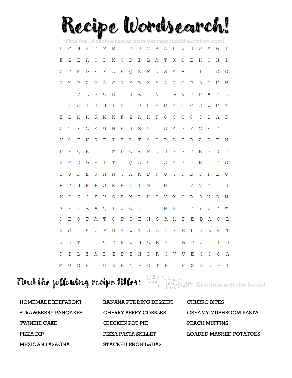### Recipe Wordsearch!

| Find the 14 recipe names from dance around the kitchen.com! |               |             |              |                                                                                                |              |               |                    |               |             |              |              |               |              |                    |                    |               |              |             |              |
|-------------------------------------------------------------|---------------|-------------|--------------|------------------------------------------------------------------------------------------------|--------------|---------------|--------------------|---------------|-------------|--------------|--------------|---------------|--------------|--------------------|--------------------|---------------|--------------|-------------|--------------|
| К                                                           | $\mathcal{C}$ | $\rm H$     | S            | D                                                                                              | X            | $\mathbf{E}$  | $J$ $P$            |               | $\rm P$     | G            | $\mathbf B$  | $\mathbb{A}$  | $\, {\bf P}$ | Ν                  | $\mathbb R$        | W             | S            | W           | Υ            |
| F                                                           | Ζ             | Е           | Α            | S                                                                                              | ${\bf P}$    | K             | S                  | B             | Ι           | L            | А            | T             | Χ            | Q                  | Е                  | Η             | S            | Η           | Ι            |
| X                                                           | Ζ             | $\mathbf M$ | D            | $\mathbf{E}% _{t}\left  \mathbf{1}\right\rangle =\mathbf{1}_{t}\left  \mathbf{1}\right\rangle$ | E            | Α             | ${\bf E}$          | Q             | Ζ           | $\mathbf F$  | N            | S             | $\mathbb{A}$ | $\mathbf B$        | $\mathbf L$        | $\mathbbm{I}$ | T            | $\circ$     | G            |
| N                                                           | W             | B           | $\mathbb{A}$ | V                                                                                              | $\mathbb{A}$ | $\mathbf C$   | $\mathbf N$        | Y             | $\mathbf Z$ | X            | $\, {\bf A}$ | Α             | $\mathbf N$  | G                  | $\mathbf B$        | Q.            | R            | Μ           | W            |
| Т                                                           | Е             | V           | Г            | Κ                                                                                              | C            | Ε             | T                  | H             | Α           | Ι            | N            | $\rm P$       | G            | W                  | B                  | U             | Α            | E           | L            |
| I                                                           | L             | $\bigcirc$  | I            | $\mathbb R$                                                                                    | H            | $\mathbbm{I}$ | $\mathbf B$        | $\mathbf{F}$  | ${\bf P}$   | $\mathbb{R}$ | A            | $\mathbb M$   | Α            | T                  | $\circ$            | G             | W            | М           | Χ            |
| Е                                                           | L             | М           | Η            | Κ                                                                                              | М            | Κ             | $\mathbf{F}% _{0}$ | Ζ             | Α           | $\rm H$      | ${\bf P}$    | $\circ$       | S            | $\mathbf C$        | $\mathcal{C}$      | $\mathcal{C}$ | B            | Α           | $\rm P$      |
| Z                                                           | T             | $\mathbf F$ | C            | Κ                                                                                              | U            | N             | E                  | J             | S           | Υ            | U            | O             | $\mathbb{A}$ | $\mathbb{R}$       | Y                  | G             | Ε            | D           | $\mathbb R$  |
| V                                                           | $\mathcal{C}$ | $\mathbf F$ | N            | Κ                                                                                              | $\mathbf F$  | I             | Ζ                  | $\mathbf L$   | T           | S            | D            | $\mathbb R$   | L            | I                  | $\mathbb{R}$       | Α             | $\mathbb{R}$ | Е           | N            |
| $\mathbf P$                                                 | Ζ             | Q           | Ε            | Ε                                                                                              | F            | W             | D                  | C             | Α           | F            | D            | $H_{\rm}$     | N            | V                  | $\mathbb R$        | Е             | R            | B           | $\mathbb{D}$ |
| Ζ                                                           | $\mathcal{C}$ | $\mathbf Z$ | $\mathbb{D}$ | A                                                                                              | Ι            | T             | U                  | Q             | S           | S            | I            | S             | $\mathbb{A}$ | $\mathbf B$        | $\mathbf{E}% _{0}$ | E             | Υ            | $\mathbf E$ | G            |
| Υ                                                           | J             | Κ           | Ε            | J                                                                                              | $\mathbf N$  | $_{\rm N}$    | G                  | Α             | Κ           | ${\bf P}$    | $\mathbf N$  | $\mathbf U$   | $\mathbf C$  | ${\bf P}$          | $\mathbf B$        | $\mathcal{C}$ | $\rm P$      | E           | Q            |
| R                                                           | Y             | $H_{\rm}$   | Κ            | $\mathbf P$                                                                                    | S            | $\mathbb{R}$  | $\mathbb R$        | L             | I           | М            | G            | $\mathbb M$   | Ι            | Е                  | Y                  | V             | Α            | F           | $\mathbf B$  |
| K                                                           | D             | S           | С            | $\mathbf{F}% _{0}$                                                                             | V            | S             | $\mathbf B$        | N             | L           | H            | $\mathbb D$  | Y             | Χ            | G                  | $\mathbb R$        | O             | N            | Α           | М            |
| Χ                                                           | Ζ             | Υ           | A            | Α                                                                                              | O            | Ι             | U                  | $\mathcal{C}$ | L           | Υ            | Ε            | Μ             | Е            | $\mathbf B$        | $\mathbb{R}$       | Υ             | C            | $\mathbb R$ | W            |
| S                                                           | Е             | O           | т            | Α                                                                                              | т            | О             | Ρ                  | D             | Ε           | Η            | S            | Α             | Μ            | D                  | Е                  | D             | Α            | Ο           | L            |
| Χ                                                           | G             | F           | S            | Ζ                                                                                              | K            | U             | Υ                  | X             | T           | J            | S            | Ε             | Υ            | K                  | Η                  | W             | Κ            | Ν           | T            |
| $\rm S$                                                     | Ε             | $\mathbf T$ | Ι            | $\mathbf B$                                                                                    | O            | $\mathbb R$   | $\mathbb{R}$       | $\mathbf U$   | H           | $\mathbf C$  | E            | $\mathbb R$   | $\mathbb T$  | W                  | $\mathcal{C}$      | U             | Е            | $\mathbf I$ | Η            |
| Ρ                                                           | Ι             | Ζ           | Ζ            | Α                                                                                              | D            | I             | Ρ                  | Ζ             | H           | $\rm P$      | $\mathbb{R}$ | $\mathcal{C}$ | V            | U                  | Ε                  | S             | S            | Q           | A            |
| М                                                           | U             | $\mathbf C$ | Η            | Ι                                                                                              | $\mathbf C$  | K             | ${\bf E}$          | $\mathbf N$   | ${\bf P}$   | $\circ$      | $\mathbb T$  | ${\bf P}$     | I            | $\mathbf{E}% _{0}$ | S                  | O             | U            | P           | I            |

#### Find the following recipe titles:  $\frac{1}{2}$  and  $\frac{1}{2}$  and  $\frac{1}{2}$  at-home activity book!

| HOMEMADE BEEFARONI  | <b>BANANA PUDDING DESSERT</b> | CHURRO BITES           |
|---------------------|-------------------------------|------------------------|
| STRAWBERRY PANCAKES | CHERRY BERRY COBBLER          | CREAMY MUSHROOM PASTA  |
| <b>TWINKIE CAKE</b> | CHICKEN POT PIE               | PEACH MUFFINS          |
| PIZZA DIP           | PIZZA PASTA SKILLET           | LOADED MASHED POTATOES |
| MEXICAN LASAGNA     | STACKED ENCHILADAS            |                        |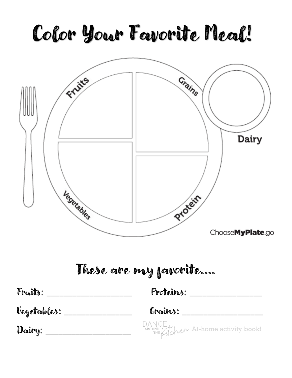## Color Your Favorite Meal!



### These are my favorite….

| Fraits:     | Proteins:                                     |  |  |  |  |
|-------------|-----------------------------------------------|--|--|--|--|
| Vegetables: | Grains:                                       |  |  |  |  |
| Dairy:      | DANCE<br>AROUND LICHEN At-home activity book! |  |  |  |  |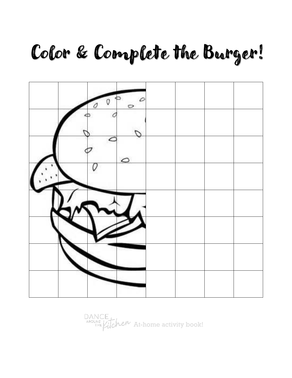### Color & Complete the Burger!



DANCE<br>AROUND LICHER At-home activity book!